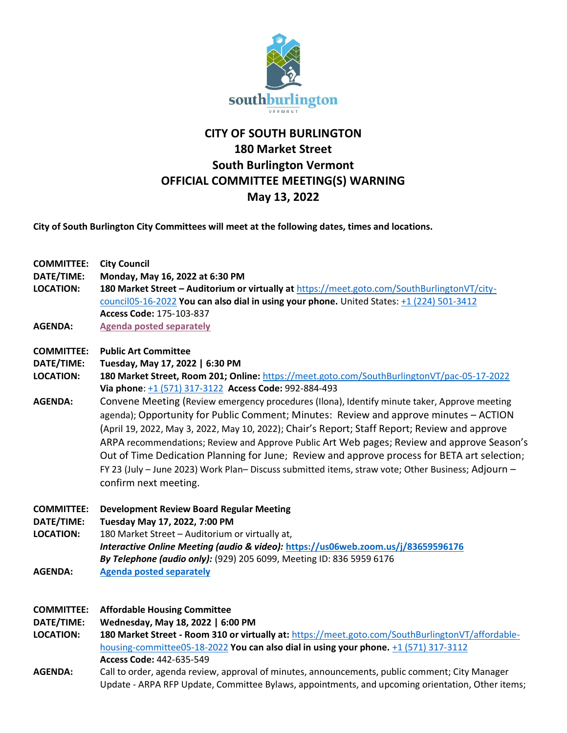

## **CITY OF SOUTH BURLINGTON 180 Market Street South Burlington Vermont OFFICIAL COMMITTEE MEETING(S) WARNING May 13, 2022**

**City of South Burlington City Committees will meet at the following dates, times and locations.** 

| <b>COMMITTEE:</b><br>DATE/TIME:<br><b>LOCATION:</b><br><b>AGENDA:</b> | <b>City Council</b><br>Monday, May 16, 2022 at 6:30 PM<br>180 Market Street - Auditorium or virtually at https://meet.goto.com/SouthBurlingtonVT/city-<br>council05-16-2022 You can also dial in using your phone. United States: +1 (224) 501-3412<br>Access Code: 175-103-837<br><b>Agenda posted separately</b>                                                                                                                                                                                                                                                                                                                                                                                                                                                                                                                            |
|-----------------------------------------------------------------------|-----------------------------------------------------------------------------------------------------------------------------------------------------------------------------------------------------------------------------------------------------------------------------------------------------------------------------------------------------------------------------------------------------------------------------------------------------------------------------------------------------------------------------------------------------------------------------------------------------------------------------------------------------------------------------------------------------------------------------------------------------------------------------------------------------------------------------------------------|
| <b>COMMITTEE:</b><br>DATE/TIME:<br><b>LOCATION:</b><br><b>AGENDA:</b> | <b>Public Art Committee</b><br>Tuesday, May 17, 2022   6:30 PM<br>180 Market Street, Room 201; Online: https://meet.goto.com/SouthBurlingtonVT/pac-05-17-2022<br>Via phone: +1 (571) 317-3122 Access Code: 992-884-493<br>Convene Meeting (Review emergency procedures (Ilona), Identify minute taker, Approve meeting<br>agenda); Opportunity for Public Comment; Minutes: Review and approve minutes - ACTION<br>(April 19, 2022, May 3, 2022, May 10, 2022); Chair's Report; Staff Report; Review and approve<br>ARPA recommendations; Review and Approve Public Art Web pages; Review and approve Season's<br>Out of Time Dedication Planning for June; Review and approve process for BETA art selection;<br>FY 23 (July - June 2023) Work Plan- Discuss submitted items, straw vote; Other Business; Adjourn -<br>confirm next meeting. |
| <b>COMMITTEE:</b><br>DATE/TIME:<br><b>LOCATION:</b><br><b>AGENDA:</b> | <b>Development Review Board Regular Meeting</b><br>Tuesday May 17, 2022, 7:00 PM<br>180 Market Street - Auditorium or virtually at,<br>Interactive Online Meeting (audio & video): https://us06web.zoom.us/j/83659596176<br>By Telephone (audio only): (929) 205 6099, Meeting ID: 836 5959 6176<br><b>Agenda posted separately</b>                                                                                                                                                                                                                                                                                                                                                                                                                                                                                                           |
| <b>COMMITTEE:</b><br>DATE/TIME:<br><b>LOCATION:</b>                   | <b>Affordable Housing Committee</b><br>Wednesday, May 18, 2022   6:00 PM<br>180 Market Street - Room 310 or virtually at: https://meet.goto.com/SouthBurlingtonVT/affordable-                                                                                                                                                                                                                                                                                                                                                                                                                                                                                                                                                                                                                                                                 |

[housing-committee05-18-2022](https://meet.goto.com/SouthBurlingtonVT/affordable-housing-committee05-18-2022) **You can also dial in using your phone.** [+1 \(571\) 317-3112](tel:+15713173112,,442635549) **Access Code:** 442-635-549

**AGENDA:** Call to order, agenda review, approval of minutes, announcements, public comment; City Manager Update - ARPA RFP Update, Committee Bylaws, appointments, and upcoming orientation, Other items;